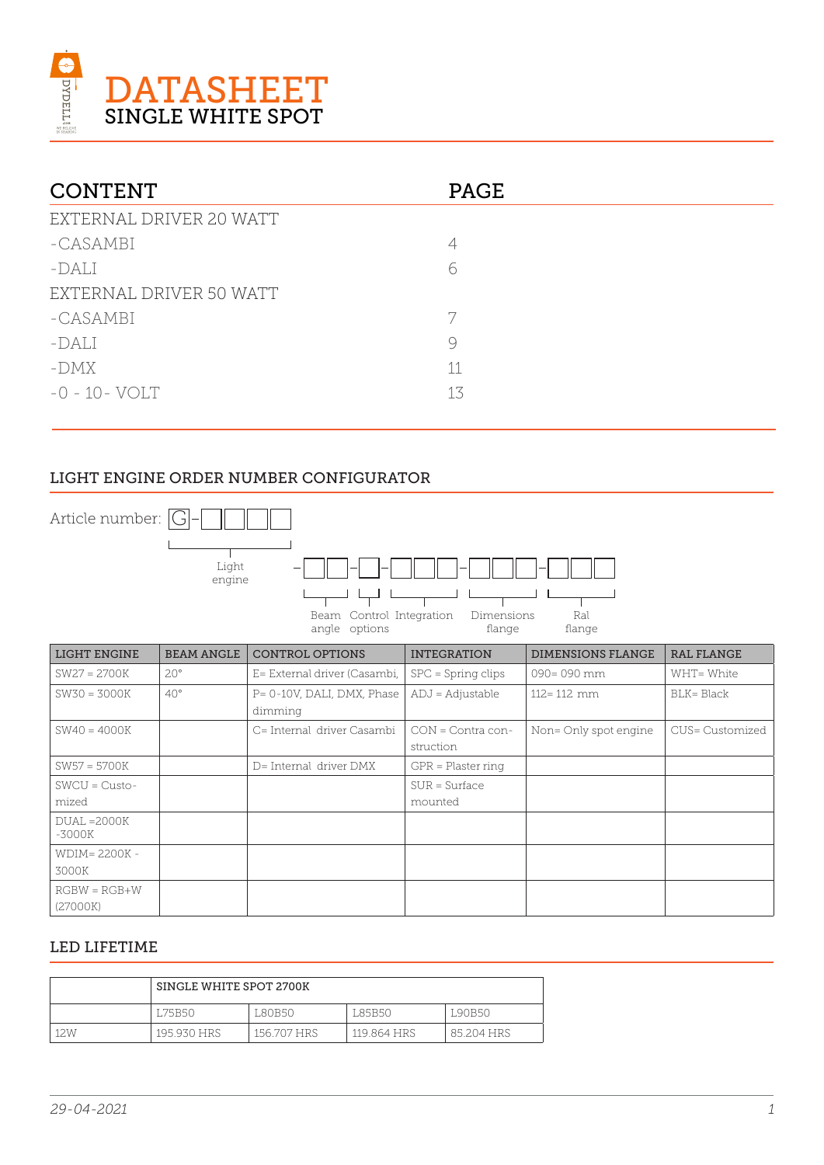

| <b>CONTENT</b>          | <b>PAGE</b> |
|-------------------------|-------------|
| EXTERNAL DRIVER 20 WATT |             |
| -CASAMBI                | 4           |
| $-DALI$                 | 6           |
| EXTERNAL DRIVER 50 WATT |             |
| -CASAMBI                |             |
| $-DALI$                 | 9           |
| -DMX                    | 11          |
| $-0 - 10 - VOLT$        | 13          |

## LIGHT ENGINE ORDER NUMBER CONFIGURATOR



### LED LIFETIME

|      | SINGLE WHITE SPOT 2700K |             |             |            |
|------|-------------------------|-------------|-------------|------------|
|      | <b>LZ5B50</b>           | L80B50      | L85B50      | L90B50     |
| 12.W | 195.930 HRS             | 156.707 HRS | 119.864 HRS | 85.204 HRS |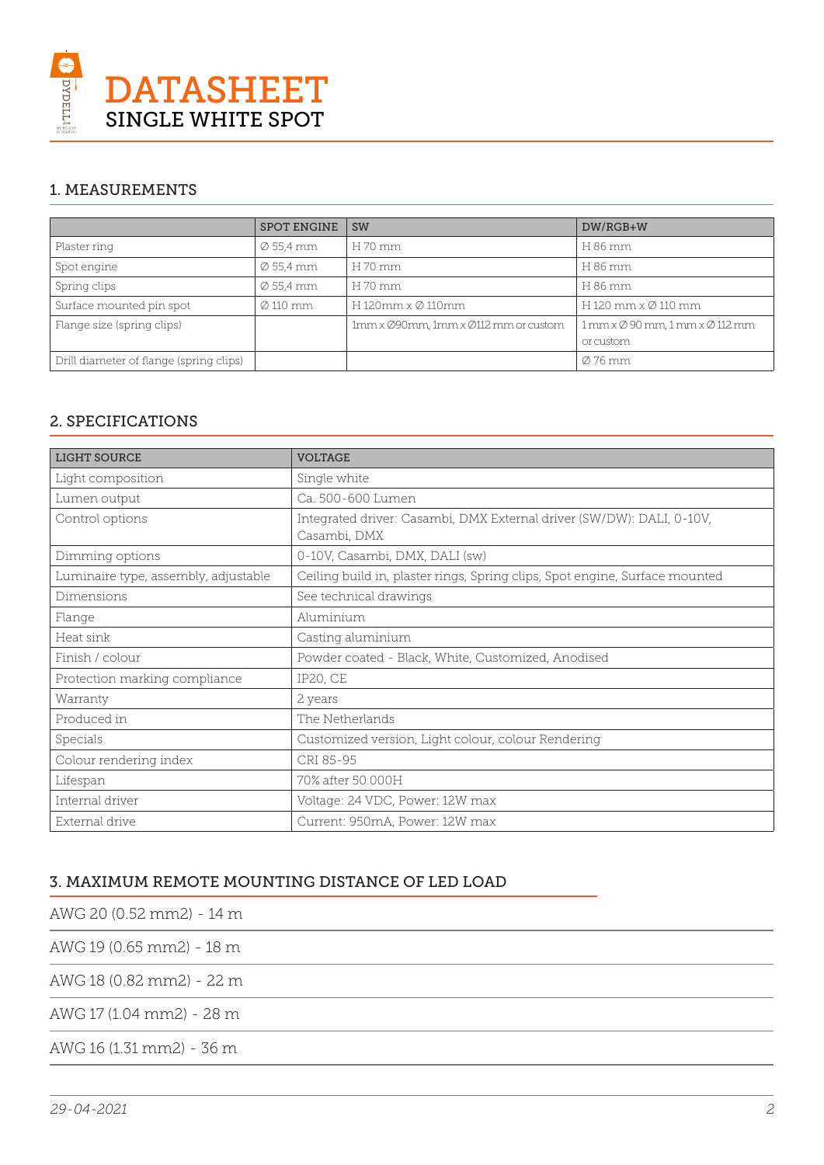

## 1. MEASUREMENTS

|                                         | <b>SPOT ENGINE</b>    | <b>SW</b>                            | DW/RGB+W                                                |
|-----------------------------------------|-----------------------|--------------------------------------|---------------------------------------------------------|
| Plaster ring                            | $\varnothing$ 55,4 mm | H 70 mm                              | H 86 mm                                                 |
| Spot engine                             | $\varnothing$ 55,4 mm | H 70 mm                              | H 86 mm                                                 |
| Spring clips                            | $\varnothing$ 55.4 mm | H 70 mm                              | H 86 mm                                                 |
| Surface mounted pin spot                | $\varnothing$ 110 mm  | H 120mm x Ø 110mm                    | H 120 mm $\times$ Ø 110 mm                              |
| Flange size (spring clips)              |                       | 1mm x Ø90mm, 1mm x Ø112 mm or custom | $1$ mm x $\emptyset$ 90 mm, $1$ mm x $\emptyset$ 112 mm |
|                                         |                       |                                      | or custom                                               |
| Drill diameter of flange (spring clips) |                       |                                      | Ø 76 mm                                                 |

## 2. SPECIFICATIONS

| <b>LIGHT SOURCE</b>                  | <b>VOLTAGE</b>                                                                        |
|--------------------------------------|---------------------------------------------------------------------------------------|
| Light composition                    | Single white                                                                          |
| Lumen output                         | Ca. 500-600 Lumen                                                                     |
| Control options                      | Integrated driver: Casambi, DMX External driver (SW/DW): DALI, 0-10V,<br>Casambi, DMX |
| Dimming options                      | 0-10V, Casambi, DMX, DALI (sw)                                                        |
| Luminaire type, assembly, adjustable | Ceiling build in, plaster rings, Spring clips, Spot engine, Surface mounted           |
| Dimensions                           | See technical drawings                                                                |
| Flange                               | Aluminium                                                                             |
| Heat sink                            | Casting aluminium                                                                     |
| Finish / colour                      | Powder coated - Black, White, Customized, Anodised                                    |
| Protection marking compliance        | <b>IP20, CE</b>                                                                       |
| Warranty                             | 2 years                                                                               |
| Produced in                          | The Netherlands                                                                       |
| Specials                             | Customized version, Light colour, colour Rendering                                    |
| Colour rendering index               | CRI 85-95                                                                             |
| Lifespan                             | 70% after 50.000H                                                                     |
| Internal driver                      | Voltage: 24 VDC, Power: 12W max                                                       |
| External drive                       | Current: 950mA, Power: 12W max                                                        |

## 3. MAXIMUM REMOTE MOUNTING DISTANCE OF LED LOAD

AWG 20 (0.52 mm2) - 14 m

AWG 19 (0.65 mm2) - 18 m

AWG 18 (0.82 mm2) - 22 m

AWG 17 (1.04 mm2) - 28 m

AWG 16 (1.31 mm2) - 36 m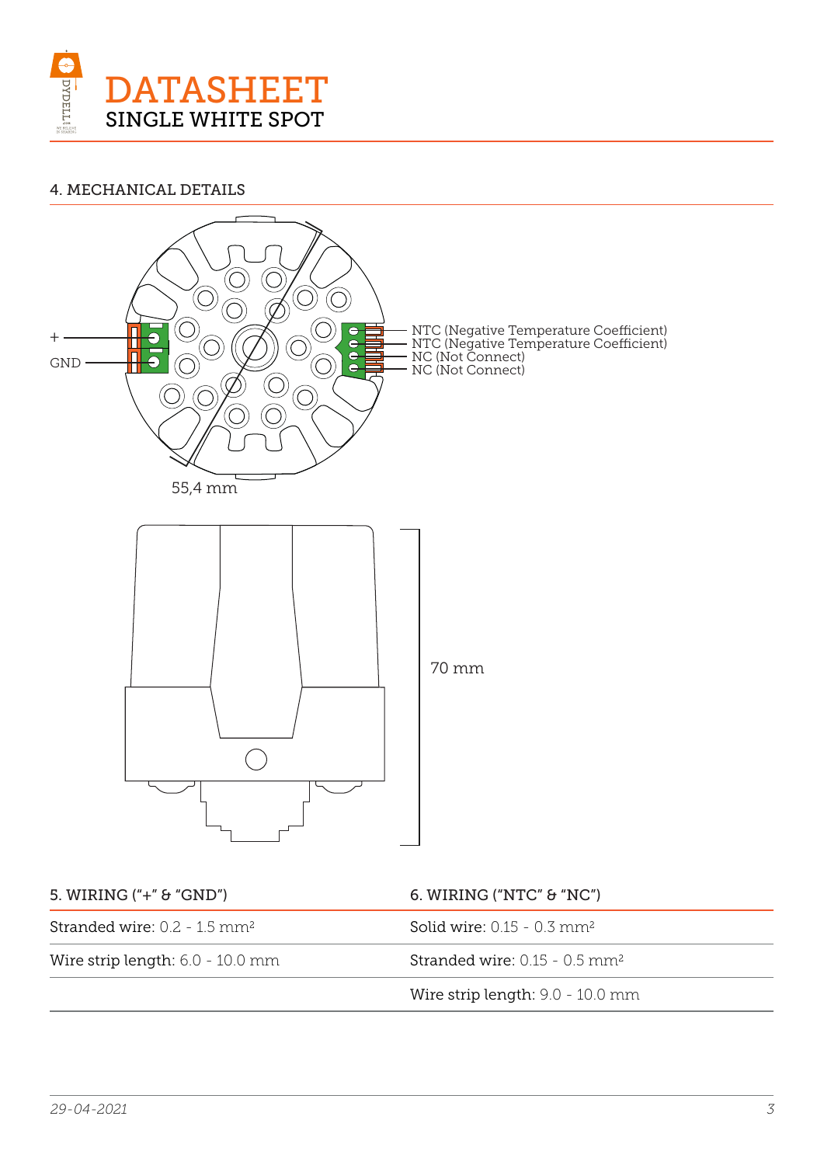

### 4. MECHANICAL DETAILS

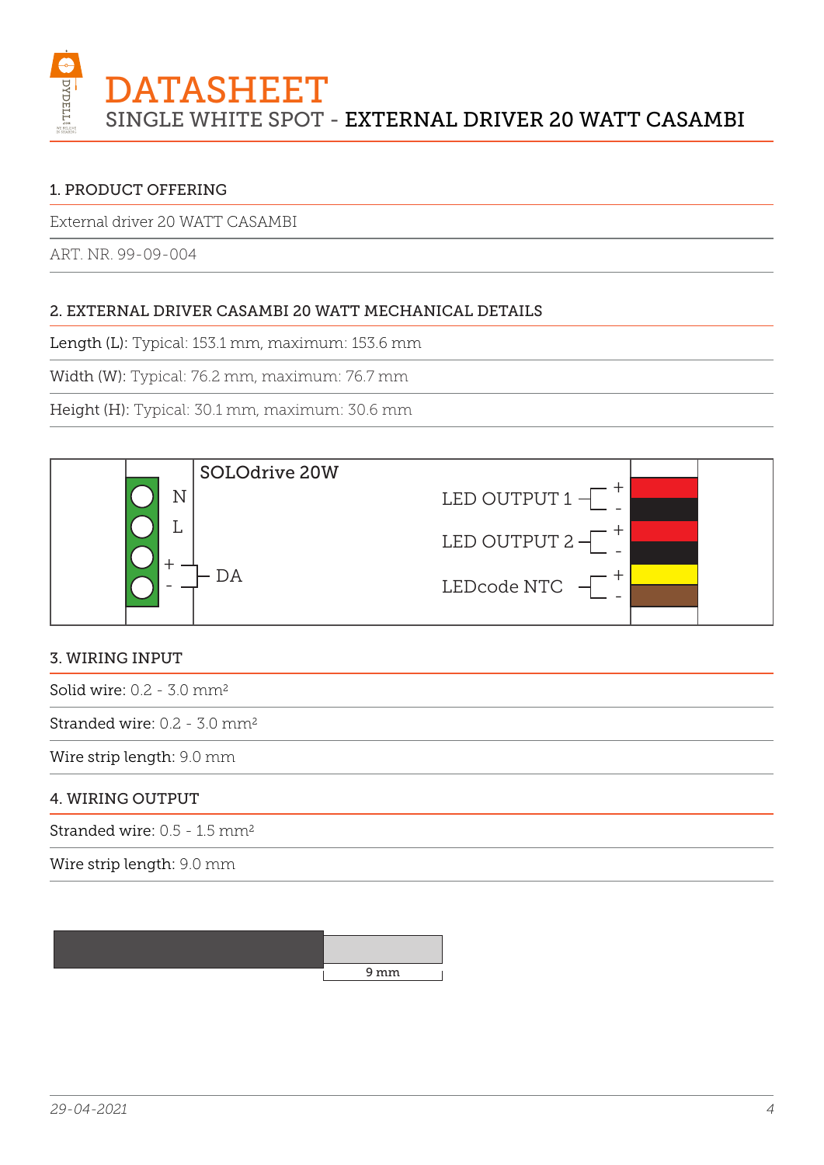

External driver 20 WATT CASAMBI

ART. NR. 99-09-004

## 2. EXTERNAL DRIVER CASAMBI 20 WATT MECHANICAL DETAILS

Length (L): Typical: 153.1 mm, maximum: 153.6 mm

Width (W): Typical: 76.2 mm, maximum: 76.7 mm

Height (H): Typical: 30.1 mm, maximum: 30.6 mm



## 3. WIRING INPUT

Solid wire: 0.2 - 3.0 mm2

Stranded wire: 0.2 - 3.0 mm2

Wire strip length: 9.0 mm

### 4. WIRING OUTPUT

Stranded wire: 0.5 - 1.5 mm2

Wire strip length: 9.0 mm

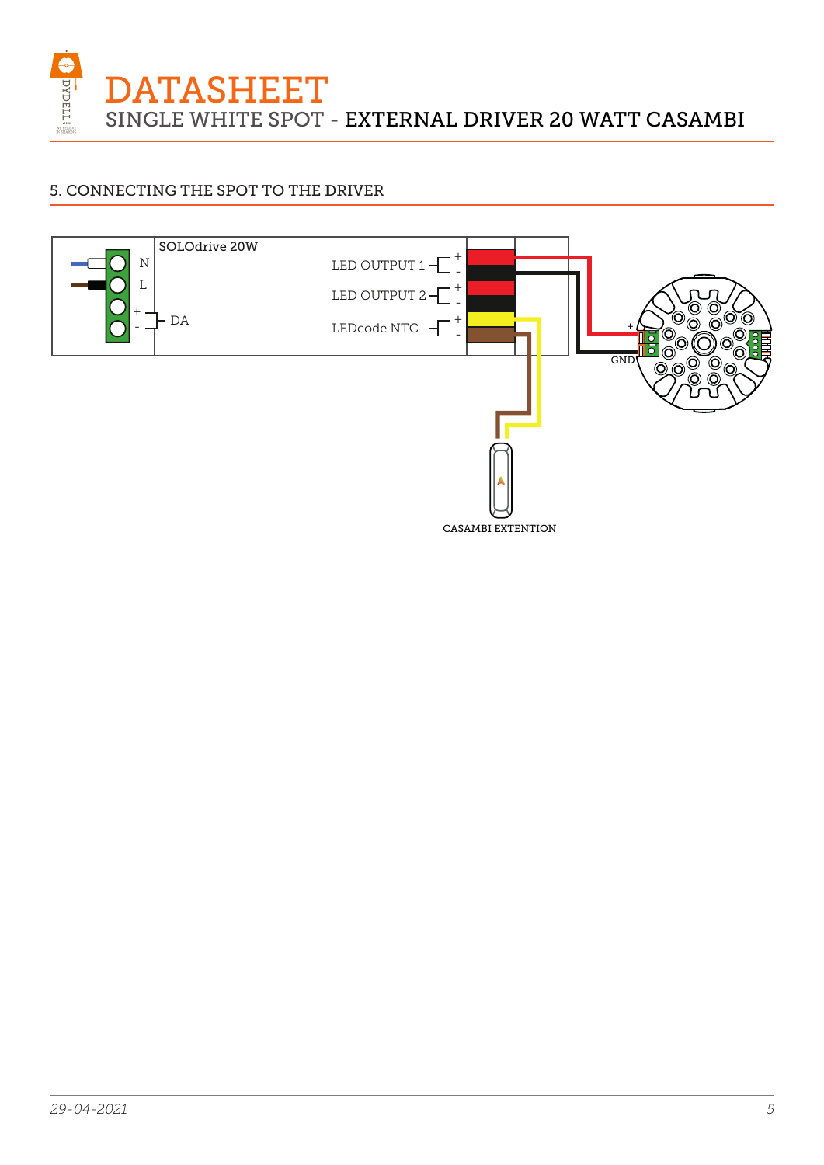DYDELL DATASHEET SINGLE WHITE SPOT - EXTERNAL DRIVER 20 WATT CASAMBI

## 5. CONNECTING THE SPOT TO THE DRIVER

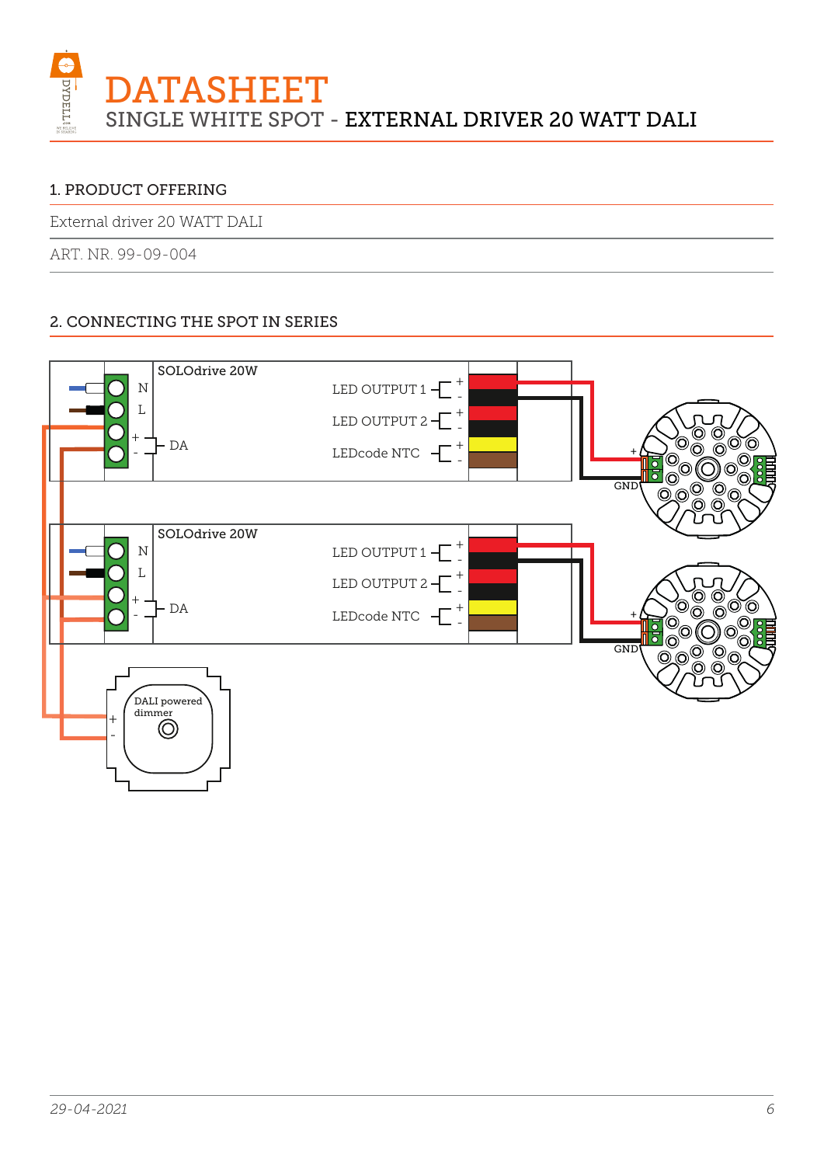

External driver 20 WATT DALI

ART. NR. 99-09-004

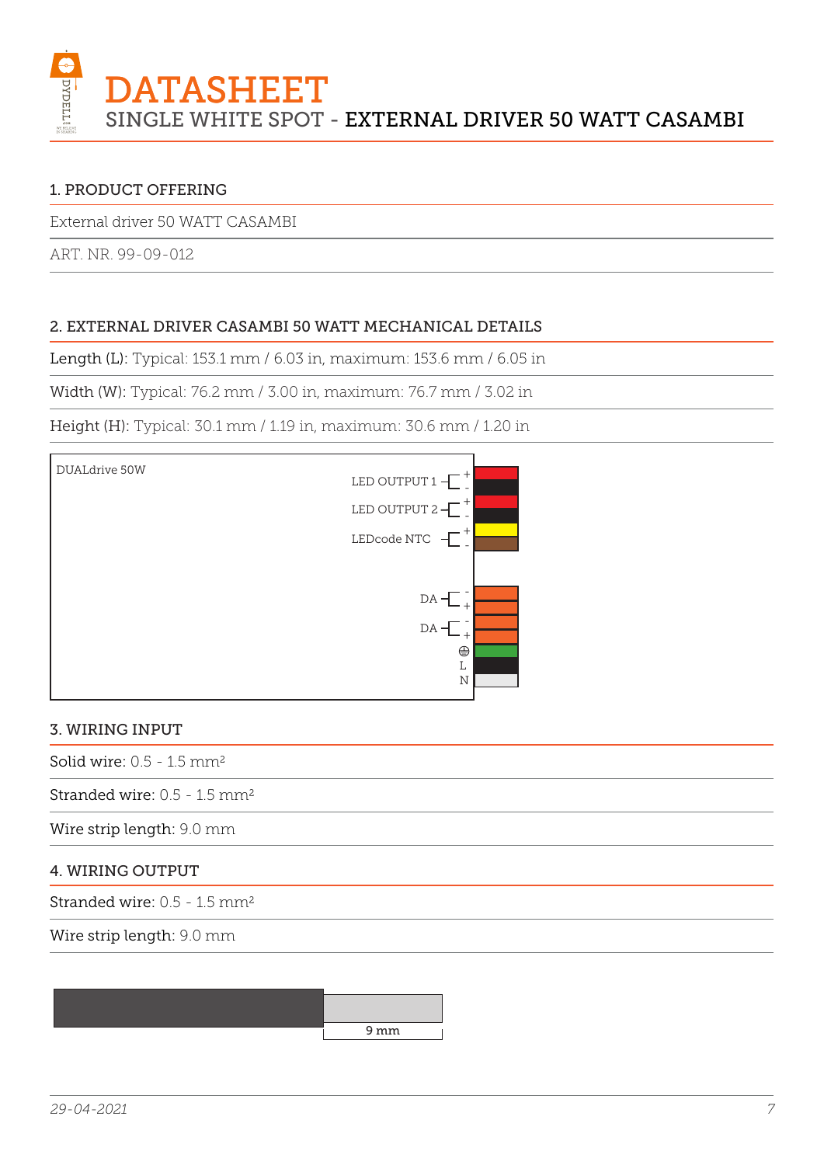

External driver 50 WATT CASAMBI

ART. NR. 99-09-012

## 2. EXTERNAL DRIVER CASAMBI 50 WATT MECHANICAL DETAILS

Length (L): Typical: 153.1 mm / 6.03 in, maximum: 153.6 mm / 6.05 in

Width (W): Typical: 76.2 mm / 3.00 in, maximum: 76.7 mm / 3.02 in

Height (H): Typical: 30.1 mm / 1.19 in, maximum: 30.6 mm / 1.20 in



#### 3. WIRING INPUT

Solid wire:  $0.5 - 1.5$  mm<sup>2</sup>

Stranded wire: 0.5 - 1.5 mm2

Wire strip length: 9.0 mm

#### 4. WIRING OUTPUT

Stranded wire: 0.5 - 1.5 mm2

Wire strip length: 9.0 mm

9 mm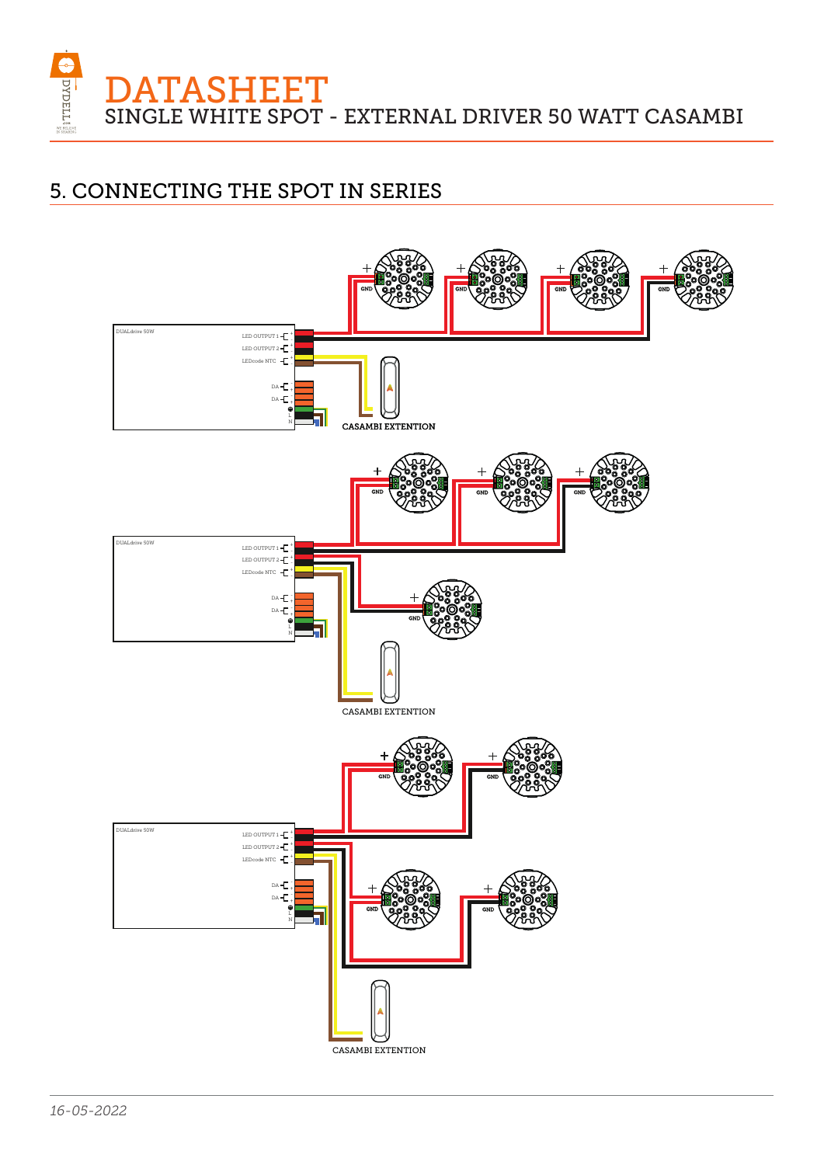**ATASHEET** SINGLE WHITE SPOT - EXTERNAL DRIVER 50 WATT CASAMBI

## 5. CONNECTING THE SPOT IN SERIES

**OVDELLE** 

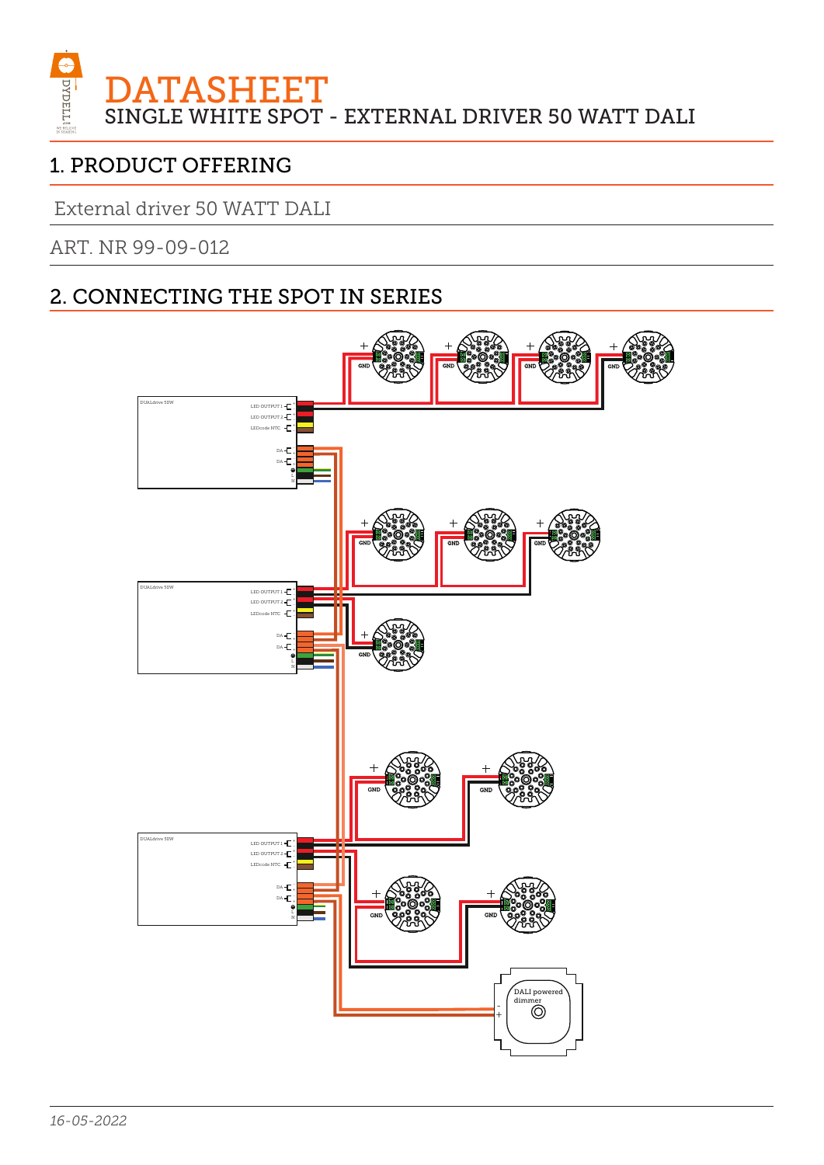

External driver 50 WATT DALI

ART. NR 99-09-012

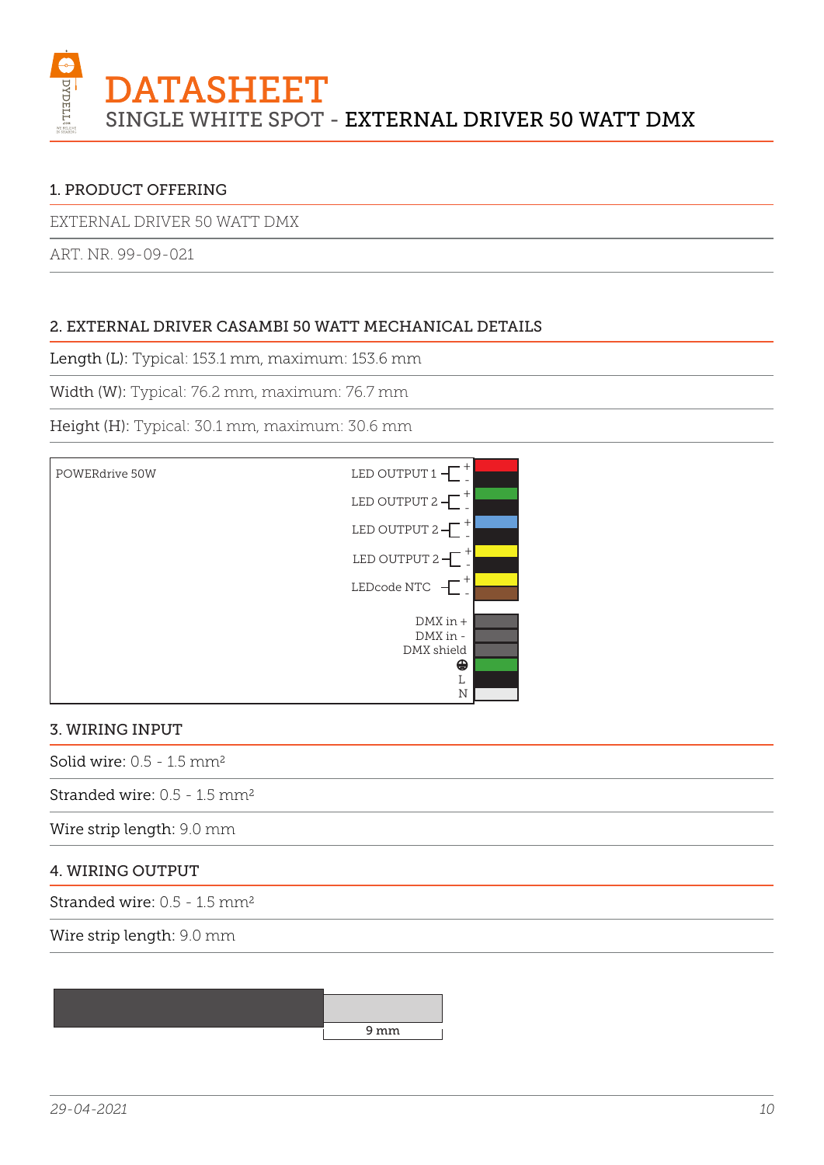

EXTERNAL DRIVER 50 WATT DMX

ART. NR. 99-09-021

## 2. EXTERNAL DRIVER CASAMBI 50 WATT MECHANICAL DETAILS

Length (L): Typical: 153.1 mm, maximum: 153.6 mm

Width (W): Typical: 76.2 mm, maximum: 76.7 mm

Height (H): Typical: 30.1 mm, maximum: 30.6 mm



#### 3. WIRING INPUT

Solid wire:  $0.5 - 1.5$  mm<sup>2</sup>

Stranded wire: 0.5 - 1.5 mm2

Wire strip length: 9.0 mm

#### 4. WIRING OUTPUT

Stranded wire: 0.5 - 1.5 mm2

Wire strip length: 9.0 mm

9 mm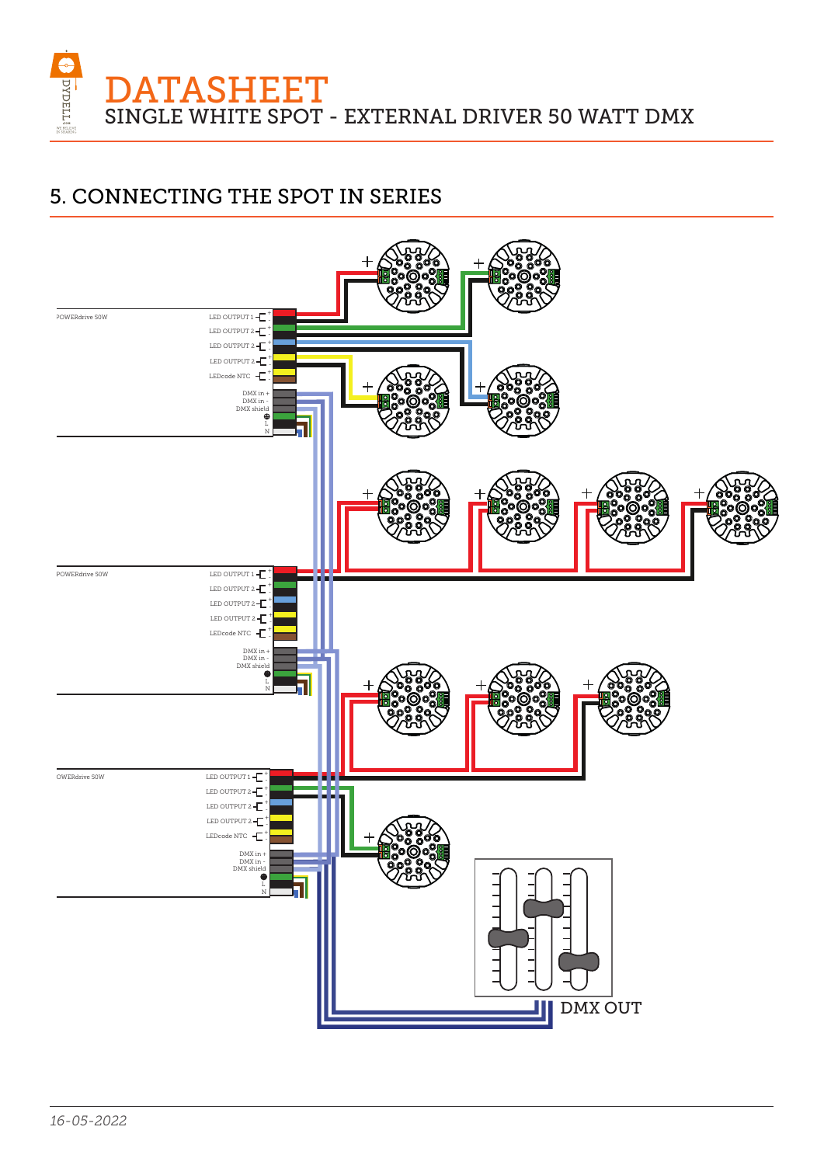

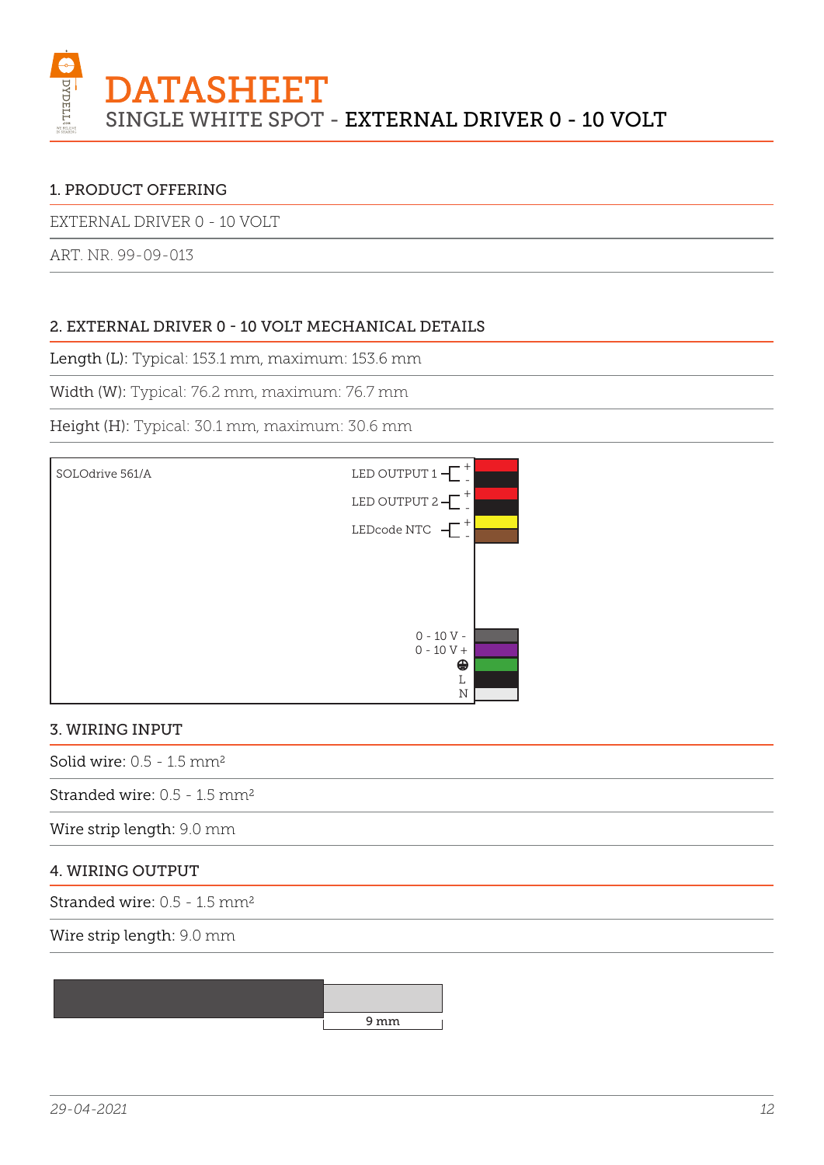

EXTERNAL DRIVER 0 - 10 VOLT

ART. NR. 99-09-013

## 2. EXTERNAL DRIVER 0 - 10 VOLT MECHANICAL DETAILS

Length (L): Typical: 153.1 mm, maximum: 153.6 mm

Width (W): Typical: 76.2 mm, maximum: 76.7 mm

Height (H): Typical: 30.1 mm, maximum: 30.6 mm



#### 3. WIRING INPUT

Solid wire:  $0.5 - 1.5$  mm<sup>2</sup>

Stranded wire: 0.5 - 1.5 mm2

Wire strip length: 9.0 mm

#### 4. WIRING OUTPUT

Stranded wire: 0.5 - 1.5 mm2

Wire strip length: 9.0 mm

9 mm